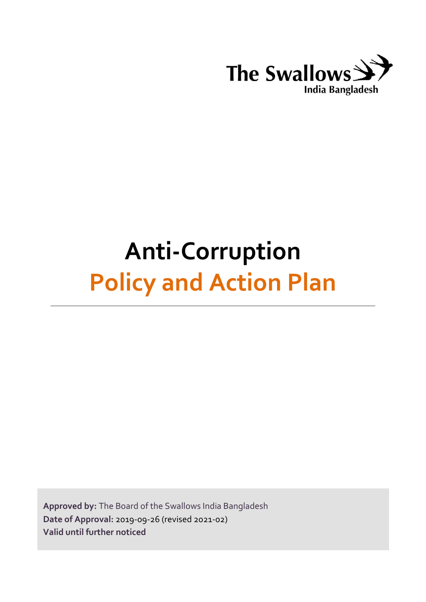

# **Anti-Corruption Policy and Action Plan**

**Approved by:** The Board of the Swallows India Bangladesh **Date of Approval:** 2019-09-26 (revised 2021-02) **Valid until further noticed**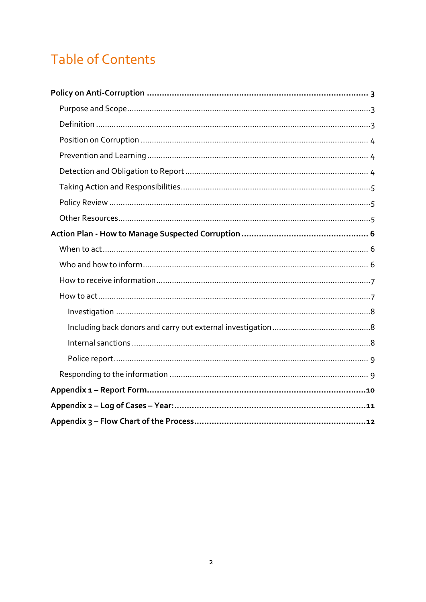# **Table of Contents**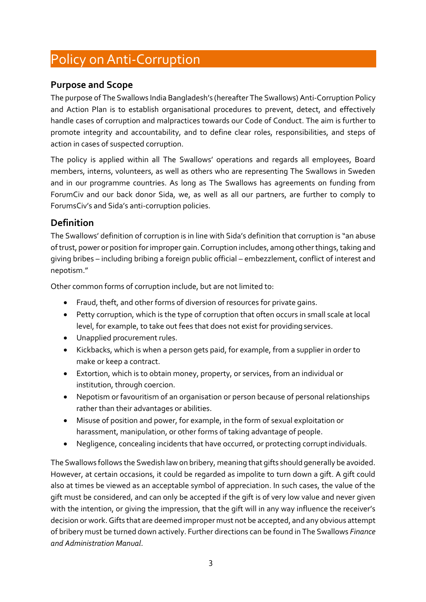## <span id="page-2-0"></span>Policy on Anti-Corruption

#### <span id="page-2-1"></span>**Purpose and Scope**

The purpose of The Swallows India Bangladesh's (hereafter The Swallows) Anti-Corruption Policy and Action Plan is to establish organisational procedures to prevent, detect, and effectively handle cases of corruption and malpractices towards our Code of Conduct. The aim is further to promote integrity and accountability, and to define clear roles, responsibilities, and steps of action in cases of suspected corruption.

The policy is applied within all The Swallows' operations and regards all employees, Board members, interns, volunteers, as well as others who are representing The Swallows in Sweden and in our programme countries. As long as The Swallows has agreements on funding from ForumCiv and our back donor Sida, we, as well as all our partners, are further to comply to ForumsCiv's and Sida's anti-corruption policies.

#### <span id="page-2-2"></span>**Definition**

The Swallows' definition of corruption is in line with Sida's definition that corruption is "an abuse oftrust, power or position forimproper gain.Corruption includes, among otherthings,taking and giving bribes – including bribing a foreign public official – embezzlement, conflict of interest and nepotism."

Other common forms of corruption include, but are not limited to:

- Fraud, theft, and other forms of diversion of resources for private gains.
- Petty corruption, which is the type of corruption that often occurs in small scale at local level, for example, to take out fees that does not exist for providing services.
- Unapplied procurement rules.
- Kickbacks, which is when a person gets paid, for example, from a supplier in order to make or keep a contract.
- Extortion, which is to obtain money, property, or services, from an individual or institution, through coercion.
- Nepotism or favouritism of an organisation or person because of personal relationships rather than their advantages or abilities.
- Misuse of position and power, for example, in the form of sexual exploitation or harassment, manipulation, or other forms of taking advantage of people.
- Negligence, concealing incidents that have occurred, or protecting corruptindividuals.

The Swallows follows the Swedish law on bribery, meaning that gifts should generally be avoided. However, at certain occasions, it could be regarded as impolite to turn down a gift. A gift could also at times be viewed as an acceptable symbol of appreciation. In such cases, the value of the gift must be considered, and can only be accepted if the gift is of very low value and never given with the intention, or giving the impression, that the gift will in any way influence the receiver's decision or work. Gifts that are deemed improper must not be accepted, and any obvious attempt of bribery must be turned down actively. Further directions can be found in The Swallows *Finance and Administration Manual*.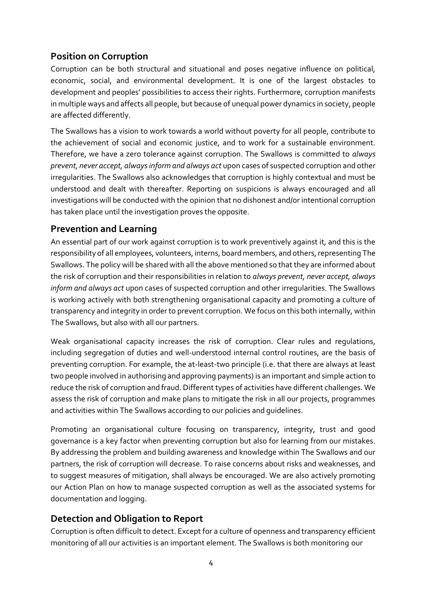#### <span id="page-3-0"></span>**Position on Corruption**

Corruption can be both structural and situational and poses negative influence on political, economic, social, and environmental development. It is one of the largest obstacles to development and peoples' possibilities to access their rights. Furthermore, corruption manifests in multiple ways and affects all people, but because of unequal power dynamics in society, people are affected differently.

The Swallows has a vision to work towards a world without poverty for all people, contribute to the achievement of social and economic justice, and to work for a sustainable environment. Therefore, we have a zero tolerance against corruption. The Swallows is committed to *always prevent, never accept, alwaysinform and always act* upon cases of suspected corruption and other irregularities. The Swallows also acknowledges that corruption is highly contextual and must be understood and dealt with thereafter. Reporting on suspicions is always encouraged and all investigations will be conducted with the opinion that no dishonest and/or intentional corruption has taken place until the investigation proves the opposite.

#### <span id="page-3-1"></span>**Prevention and Learning**

An essential part of our work against corruption is to work preventively against it, and this is the responsibility of all employees, volunteers, interns, board members, and others,representing The Swallows. The policy will be shared with all the above mentioned so that they are informed about the risk of corruption and their responsibilities in relation to *always prevent, never accept, always inform and always act* upon cases of suspected corruption and other irregularities. The Swallows is working actively with both strengthening organisational capacity and promoting a culture of transparency and integrity in order to prevent corruption. We focus on this both internally, within The Swallows, but also with all our partners.

Weak organisational capacity increases the risk of corruption. Clear rules and regulations, including segregation of duties and well-understood internal control routines, are the basis of preventing corruption. For example, the at-least-two principle (i.e. that there are always at least two people involved in authorising and approving payments) is an important and simple action to reduce the risk of corruption and fraud. Different types of activities have different challenges. We assess the risk of corruption and make plans to mitigate the risk in all our projects, programmes and activities within The Swallows according to our policies and guidelines.

Promoting an organisational culture focusing on transparency, integrity, trust and good governance is a key factor when preventing corruption but also for learning from our mistakes. By addressing the problem and building awareness and knowledge within The Swallows and our partners, the risk of corruption will decrease. To raise concerns about risks and weaknesses, and to suggest measures of mitigation, shall always be encouraged. We are also actively promoting our Action Plan on how to manage suspected corruption as well as the associated systems for documentation and logging.

#### <span id="page-3-2"></span>**Detection and Obligation to Report**

Corruption is often difficult to detect. Except for a culture of openness and transparency efficient monitoring of all our activities is an important element. The Swallows is both monitoring our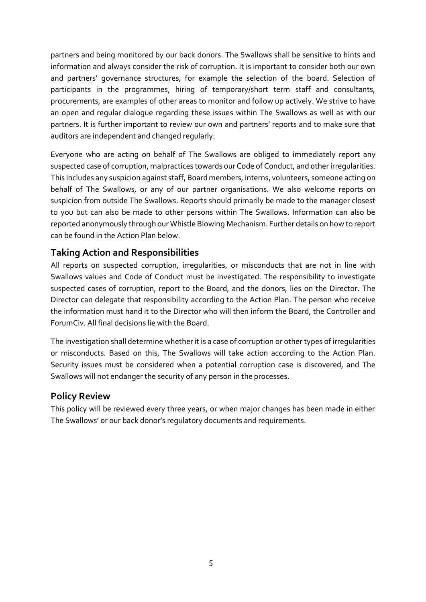<span id="page-4-3"></span>partners and being monitored by our back donors. The Swallows shall be sensitive to hints and information and always consider the risk of corruption. It is important to consider both our own and partners' governance structures, for example the selection of the board. Selection of participants in the programmes, hiring of temporary/short term staff and consultants, procurements, are examples of other areas to monitor and follow up actively. We strive to have an open and regular dialogue regarding these issues within The Swallows as well as with our partners. It is further important to review our own and partners' reports and to make sure that auditors are independent and changed regularly.

Everyone who are acting on behalf of The Swallows are obliged to immediately report any suspected case of corruption, malpractices towards our Code of Conduct, and other irregularities. This includes any suspicion against staff, Board members, interns, volunteers, someone acting on behalf of The Swallows, or any of our partner organisations. We also welcome reports on suspicion from outside The Swallows. Reports should primarily be made to the manager closest to you but can also be made to other persons within The Swallows. Information can also be reported anonymously through our Whistle Blowing Mechanism. Further details on how to report can be found in the Action Plan below.

#### <span id="page-4-0"></span>**Taking Action and Responsibilities**

All reports on suspected corruption, irregularities, or misconducts that are not in line with Swallows values and Code of Conduct must be investigated. The responsibility to investigate suspected cases of corruption, report to the Board, and the donors, lies on the Director. The Director can delegate that responsibility according to the Action Plan. The person who receive the information must hand it to the Director who will then inform the Board, the Controller and ForumCiv. All final decisions lie with the Board.

The investigation shall determine whether it is a case of corruption or other types of irregularities or misconducts. Based on this, The Swallows will take action according to the Action Plan. Security issues must be considered when a potential corruption case is discovered, and The Swallows will not endanger the security of any person in the processes.

#### <span id="page-4-1"></span>**Policy Review**

<span id="page-4-2"></span>This policy will be reviewed every three years, or when major changes has been made in either The Swallows' or our back donor's regulatory documents and requirements.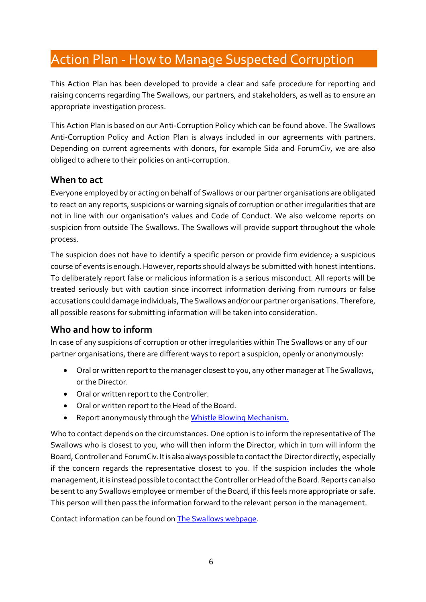### Action Plan - How to Manage Suspected Corruption

This Action Plan has been developed to provide a clear and safe procedure for reporting and raising concerns regarding The Swallows, our partners, and stakeholders, as well as to ensure an appropriate investigation process.

This Action Plan is based on our Anti-Corruption Policy which can be found above. The Swallows Anti-Corruption Policy and Action Plan is always included in our agreements with partners. Depending on current agreements with donors, for example Sida and ForumCiv, we are also obliged to adhere to their policies on anti-corruption.

#### <span id="page-5-0"></span>**When to act**

Everyone employed by or acting on behalf of Swallows or our partner organisations are obligated to react on any reports, suspicions or warning signals of corruption or other irregularities that are not in line with our organisation's values and Code of Conduct. We also welcome reports on suspicion from outside The Swallows. The Swallows will provide support throughout the whole process.

The suspicion does not have to identify a specific person or provide firm evidence; a suspicious course of events is enough. However, reports should always be submitted with honest intentions. To deliberately report false or malicious information is a serious misconduct. All reports will be treated seriously but with caution since incorrect information deriving from rumours or false accusations could damage individuals, The Swallows and/or our partner organisations. Therefore, all possible reasons for submitting information will be taken into consideration.

#### <span id="page-5-1"></span>**Who and how to inform**

In case of any suspicions of corruption or other irregularities within The Swallows or any of our partner organisations, there are different ways to report a suspicion, openly or anonymously:

- Oral or written report to the manager closest to you, any other manager at The Swallows, or the Director.
- Oral or written report to the Controller.
- Oral or written report to the Head of the Board.
- Report anonymously through the [Whistle Blowing](https://svalorna.org/om-oss/styrning-och-kontroll/visselblasartjanst/) Mechanism[.](https://svalorna.org/om-oss/styrning-och-kontroll/visselblasartjanst/)

Who to contact depends on the circumstances. One option is to inform the representative of The Swallows who is closest to you, who will then inform the Director, which in turn will inform the Board, Controller and ForumCiv. Itis also always possible tocontactthe Director directly, especially if the concern regards the representative closest to you. If the suspicion includes the whole management, it is instead possible to contact the Controller or Head of the Board. Reports can also be sent to any Swallows employee or member of the Board, if this feels more appropriate or safe. This person will then pass the information forward to the relevant person in the management.

Contact information can be found o[n The Swallows webpage.](https://svalorna.org/om-oss/kontakta-oss/)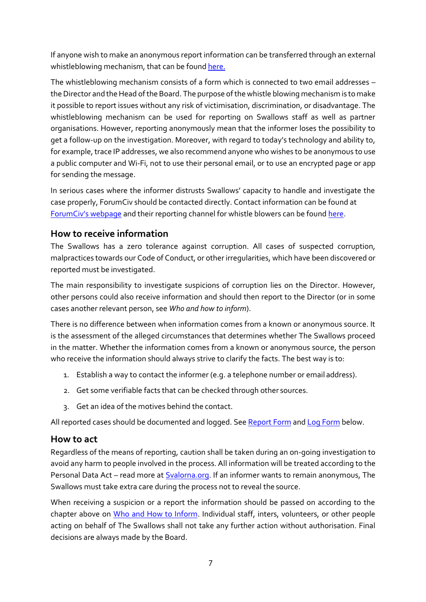If anyone wish to make an anonymous report information can be transferred through an external whistleblowing mechanism, that can be found [here.](https://svalorna.org/om-oss/styrning-och-kontroll/visselblasartjanst/)

The whistleblowing mechanism consists of a form which is connected to two email addresses – the Director and the Head of the Board. The purpose of the whistle blowing mechanism is to make it possible to report issues without any risk of victimisation, discrimination, or disadvantage. The whistleblowing mechanism can be used for reporting on Swallows staff as well as partner organisations. However, reporting anonymously mean that the informer loses the possibility to get a follow-up on the investigation. Moreover, with regard to today's technology and ability to, for example, trace IP addresses, we also recommend anyone who wishes to be anonymous to use a public computer and Wi-Fi, not to use their personal email, or to use an encrypted page or app for sending the message.

In serious cases where the informer distrusts Swallows' capacity to handle and investigate the case properly, ForumCiv should be contacted directly. Contact information can be found at ForumCiv['s webpage](https://www.forumciv.org/sv/om-oss/kontakt) and their reporting channel for whistle blowers can be found [here.](https://report.whistleb.com/en/ForumCiv)

#### <span id="page-6-0"></span>**How to receive information**

The Swallows has a zero tolerance against corruption. All cases of suspected corruption, malpractices towards our Code of Conduct, or other irregularities, which have been discovered or reported must be investigated.

The main responsibility to investigate suspicions of corruption lies on the Director. However, other persons could also receive information and should then report to the Director (or in some cases another relevant person, see *Who and how to inform*).

There is no difference between when information comes from a known or anonymous source. It is the assessment of the alleged circumstances that determines whether The Swallows proceed in the matter. Whether the information comes from a known or anonymous source, the person who receive the information should always strive to clarify the facts. The best way is to:

- 1. Establish a way to contact the informer (e.g. a telephone number or email address).
- 2. Get some verifiable facts that can be checked through other sources.
- 3. Get an idea of the motives behind the contact.

All reported cases should be documented and logged. See [Report Form](#page-9-0) an[d Log Form](#page-10-0) below.

#### <span id="page-6-1"></span>**How to act**

Regardless of the means of reporting, caution shall be taken during an on-going investigation to avoid any harm to people involved in the process. All information will be treated according to the Personal Data Act – read more at [Svalorna.org. I](https://svalorna.org/personuppgifter/)f an informer wants to remain anonymous, The Swallows must take extra care during the process not to reveal the source.

When receiving a suspicion or a report the information should be passed on according to the chapter above on [Who and How to Inform.](#page-5-1) Individual staff, inters, volunteers, or other people acting on behalf of The Swallows shall not take any further action without authorisation. Final decisions are always made by the Board.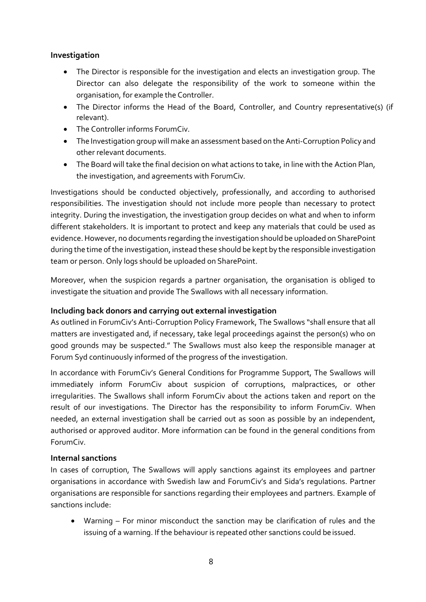#### <span id="page-7-0"></span>**Investigation**

- The Director is responsible for the investigation and elects an investigation group. The Director can also delegate the responsibility of the work to someone within the organisation, for example the Controller.
- The Director informs the Head of the Board, Controller, and Country representative(s) (if relevant).
- The Controller informs ForumCiv.
- The Investigation group will make an assessment based on the Anti-Corruption Policy and other relevant documents.
- The Board will take the final decision on what actions to take, in line with the Action Plan, the investigation, and agreements with ForumCiv.

Investigations should be conducted objectively, professionally, and according to authorised responsibilities. The investigation should not include more people than necessary to protect integrity. During the investigation, the investigation group decides on what and when to inform different stakeholders. It is important to protect and keep any materials that could be used as evidence.However, no documents regarding the investigation should be uploaded on SharePoint during the time of the investigation, instead these should be kept by the responsible investigation team or person. Only logs should be uploaded on SharePoint.

Moreover, when the suspicion regards a partner organisation, the organisation is obliged to investigate the situation and provide The Swallows with all necessary information.

#### <span id="page-7-1"></span>**Including back donors and carrying out external investigation**

As outlined in ForumCiv's Anti-Corruption Policy Framework, The Swallows "shall ensure that all matters are investigated and, if necessary, take legal proceedings against the person(s) who on good grounds may be suspected." The Swallows must also keep the responsible manager at Forum Syd continuously informed of the progress of the investigation.

In accordance with ForumCiv's General Conditions for Programme Support, The Swallows will immediately inform ForumCiv about suspicion of corruptions, malpractices, or other irregularities. The Swallows shall inform ForumCiv about the actions taken and report on the result of our investigations. The Director has the responsibility to inform ForumCiv. When needed, an external investigation shall be carried out as soon as possible by an independent, authorised or approved auditor. More information can be found in the general conditions from ForumCiv.

#### <span id="page-7-2"></span>**Internal sanctions**

In cases of corruption, The Swallows will apply sanctions against its employees and partner organisations in accordance with Swedish law and ForumCiv's and Sida's regulations. Partner organisations are responsible for sanctions regarding their employees and partners. Example of sanctions include:

• Warning – For minor misconduct the sanction may be clarification of rules and the issuing of a warning. If the behaviour is repeated other sanctions could be issued.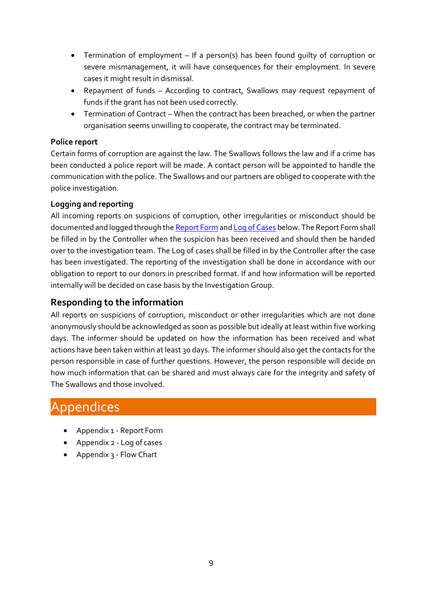- Termination of employment If a person(s) has been found guilty of corruption or severe mismanagement, it will have consequences for their employment. In severe cases it might result in dismissal.
- Repayment of funds According to contract, Swallows may request repayment of funds if the grant has not been used correctly.
- Termination of Contract When the contract has been breached, or when the partner organisation seems unwilling to cooperate, the contract may be terminated.

#### <span id="page-8-0"></span>**Police report**

Certain forms of corruption are against the law. The Swallows follows the law and if a crime has been conducted a police report will be made. A contact person will be appointed to handle the communication with the police. The Swallows and our partners are obliged to cooperate with the police investigation.

#### **Logging and reporting**

All incoming reports on suspicions of corruption, other irregularities or misconduct should be documented and logged through the [Report](#page-9-0) Form and Log of [Cases](#page-10-0) below. The Report Form shall be filled in by the Controller when the suspicion has been received and should then be handed over to the investigation team. The Log of cases shall be filled in by the Controller after the case has been investigated. The reporting of the investigation shall be done in accordance with our obligation to report to our donors in prescribed format. If and how information will be reported internally will be decided on case basis by the Investigation Group.

#### <span id="page-8-1"></span>**Responding to the information**

All reports on suspicions of corruption, misconduct or other irregularities which are not done anonymously should be acknowledged as soon as possible but ideally at least within five working days. The informer should be updated on how the information has been received and what actions have been taken within at least 30 days. The informer should also get the contacts for the person responsible in case of further questions. However, the person responsible will decide on how much information that can be shared and must always care for the integrity and safety of The Swallows and those involved.

### Appendices

- Appendix 1 Report Form
- Appendix 2 Log of cases
- Appendix 3 Flow Chart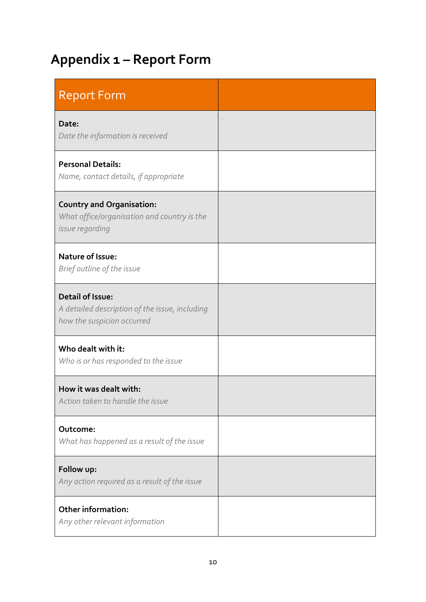# <span id="page-9-0"></span>**Appendix 1 – Report Form**

| <b>Report Form</b>                                                                                      |  |
|---------------------------------------------------------------------------------------------------------|--|
| Date:<br>Date the information is received                                                               |  |
| <b>Personal Details:</b><br>Name, contact details, if appropriate                                       |  |
| <b>Country and Organisation:</b><br>What office/organisation and country is the<br>issue regarding      |  |
| <b>Nature of Issue:</b><br>Brief outline of the issue                                                   |  |
| <b>Detail of Issue:</b><br>A detailed description of the issue, including<br>how the suspicion occurred |  |
| Who dealt with it:<br>Who is or has responded to the issue                                              |  |
| How it was dealt with:<br>Action taken to handle the issue                                              |  |
| Outcome:<br>What has happened as a result of the issue                                                  |  |
| Follow up:<br>Any action required as a result of the issue                                              |  |
| <b>Other information:</b><br>Any other relevant information                                             |  |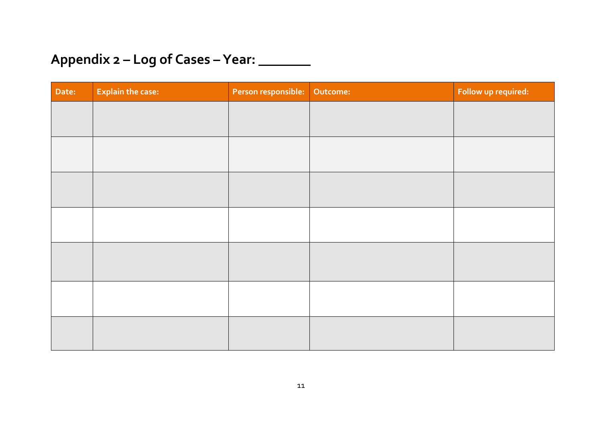# **Appendix 2 – Log of Cases – Year:**

<span id="page-10-0"></span>

| Date: | <b>Explain the case:</b> |  | Follow up required: |
|-------|--------------------------|--|---------------------|
|       |                          |  |                     |
|       |                          |  |                     |
|       |                          |  |                     |
|       |                          |  |                     |
|       |                          |  |                     |
|       |                          |  |                     |
|       |                          |  |                     |
|       |                          |  |                     |
|       |                          |  |                     |
|       |                          |  |                     |
|       |                          |  |                     |
|       |                          |  |                     |
|       |                          |  |                     |
|       |                          |  |                     |